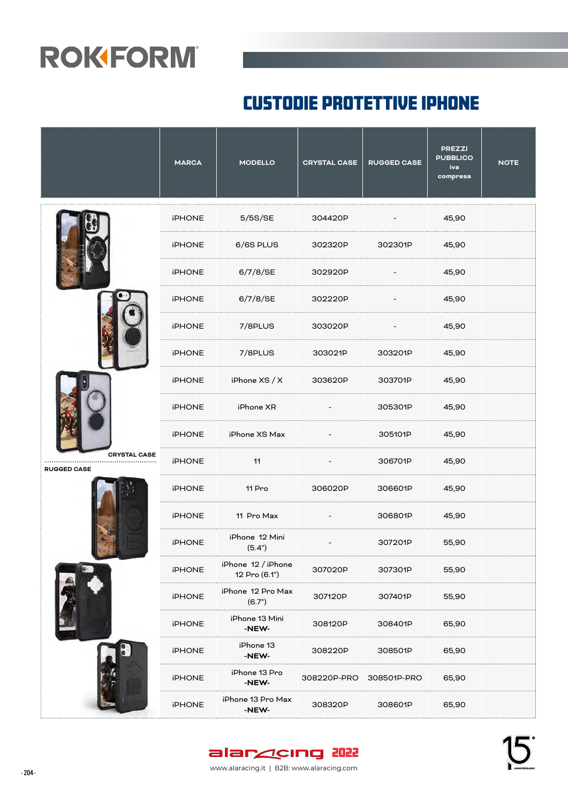#### custodie protettive IPHONE

|                                               | <b>MARCA</b>  | <b>MODELLO</b>                      | <b>CRYSTAL CASE</b> | <b>RUGGED CASE</b>       | <b>PREZZI</b><br><b>PUBBLICO</b><br>iva<br>compresa | <b>NOTE</b> |
|-----------------------------------------------|---------------|-------------------------------------|---------------------|--------------------------|-----------------------------------------------------|-------------|
|                                               | <b>iPHONE</b> | 5/5S/SE                             | 304420P             |                          | 45,90                                               |             |
|                                               | <b>iPHONE</b> | 6/6S PLUS                           | 302320P             | 302301P                  | 45,90                                               |             |
|                                               | <b>iPHONE</b> | 6/7/8/SE                            | 302920P             | $\overline{\phantom{a}}$ | 45,90                                               |             |
|                                               | <b>iPHONE</b> | 6/7/8/SE                            | 302220P             |                          | 45,90                                               |             |
|                                               | <b>iPHONE</b> | 7/8PLUS                             | 303020P             |                          | 45,90                                               |             |
|                                               | <b>iPHONE</b> | 7/8PLUS                             | 303021P             | 303201P                  | 45,90                                               |             |
|                                               | <b>iPHONE</b> | iPhone XS / X                       | 303620P             | 303701P                  | 45,90                                               |             |
|                                               | <b>iPHONE</b> | iPhone XR                           |                     | 305301P                  | 45,90                                               |             |
|                                               | iPHONE        | iPhone XS Max                       |                     | 305101P                  | 45,90                                               |             |
| <b>CRYSTAL CASE</b><br><br><b>RUGGED CASE</b> | <b>iPHONE</b> | 11                                  |                     | 306701P                  | 45,90                                               |             |
|                                               | <b>iPHONE</b> | 11 Pro                              | 306020P             | 306601P                  | 45,90                                               |             |
|                                               | <b>iPHONE</b> | 11 Pro Max                          |                     | 306801P                  | 45,90                                               |             |
|                                               | <b>iPHONE</b> | iPhone 12 Mini<br>(5.4")            |                     | 307201P                  | 55,90                                               |             |
|                                               | <b>iPHONE</b> | iPhone 12 / iPhone<br>12 Pro (6.1") | 307020P             | 307301P                  | 55,90                                               |             |
|                                               | <b>iPHONE</b> | iPhone 12 Pro Max<br>(6.7")         | 307120P             | 307401P                  | 55,90                                               |             |
|                                               | <b>iPHONE</b> | iPhone 13 Mini<br>-NEW-             | 308120P             | 308401P                  | 65,90                                               |             |
|                                               | <b>iPHONE</b> | iPhone 13<br>-NEW-                  | 308220P             | 308501P                  | 65,90                                               |             |
|                                               | <b>iPHONE</b> | iPhone 13 Pro<br>-NEW-              | 308220P-PRO         | 308501P-PRO              | 65,90                                               |             |
|                                               | <b>iPHONE</b> | iPhone 13 Pro Max<br>-NEW-          | 308320P             | 308601P                  | 65,90                                               |             |

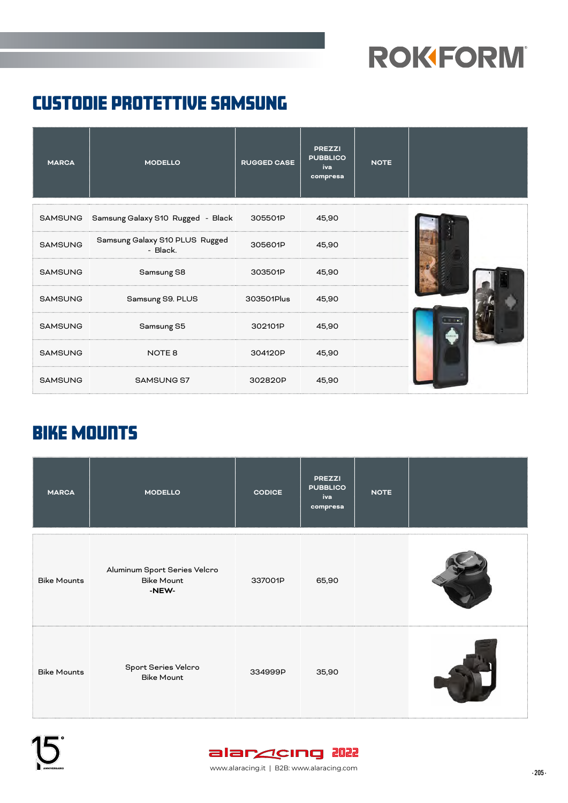#### custodie protettive SAMSUNG

| <b>MARCA</b>   | <b>MODELLO</b>                                    | <b>RUGGED CASE</b> | <b>PREZZI</b><br><b>PUBBLICO</b><br>iva<br>compresa | <b>NOTE</b> |  |
|----------------|---------------------------------------------------|--------------------|-----------------------------------------------------|-------------|--|
|                | SAMSUNG Samsung Galaxy S10 Rugged - Black 305501P |                    | 45,90                                               |             |  |
| <b>SAMSUNG</b> | Samsung Galaxy S10 PLUS Rugged<br>- Black.        | 305601P            | 45,90                                               |             |  |
| <b>SAMSUNG</b> | Samsung S8                                        | 303501P            | 45,90                                               |             |  |
| <b>SAMSUNG</b> | Samsung S9. PLUS                                  | 303501Plus         | 45,90                                               |             |  |
| <b>SAMSUNG</b> | Samsung S5                                        | 302101P            | 45,90                                               |             |  |
| <b>SAMSUNG</b> | NOTE 8                                            | 304120P            | 45,90                                               |             |  |
| <b>SAMSUNG</b> | SAMSUNG S7                                        | 302820P            | 45,90                                               |             |  |

#### Bike Mounts

| <b>MARCA</b>       | <b>MODELLO</b>                                             | <b>CODICE</b> | <b>PREZZI</b><br><b>PUBBLICO</b><br>iva<br>compresa | <b>NOTE</b> |  |
|--------------------|------------------------------------------------------------|---------------|-----------------------------------------------------|-------------|--|
| <b>Bike Mounts</b> | Aluminum Sport Series Velcro<br><b>Bike Mount</b><br>-NEW- | 337001P       | 65,90                                               |             |  |
| <b>Bike Mounts</b> | Sport Series Velcro<br><b>Bike Mount</b>                   | 334999P       | 35,90                                               |             |  |





- 205 - www.alaracing.it | B2B: www.alaracing.com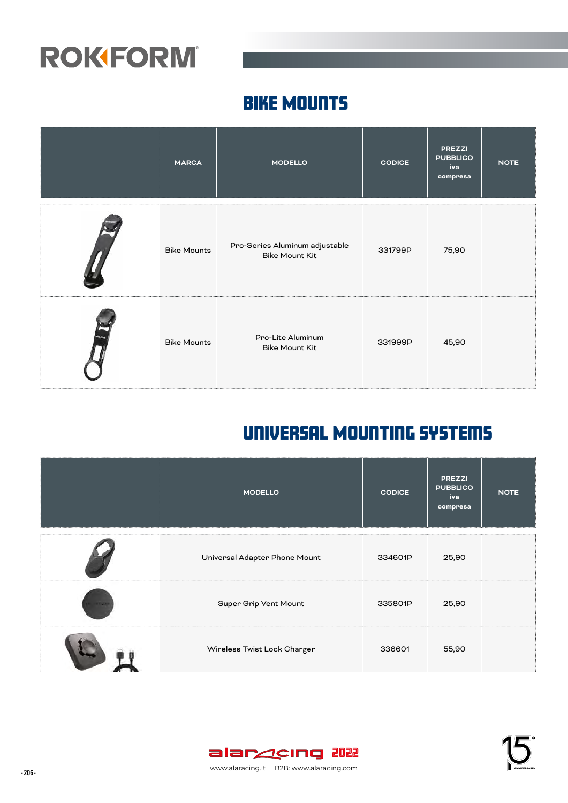#### Bike Mounts

| <b>MARCA</b>       | <b>MODELLO</b>                                          | <b>CODICE</b> | <b>PREZZI</b><br><b>PUBBLICO</b><br>iva<br>compresa | <b>NOTE</b> |
|--------------------|---------------------------------------------------------|---------------|-----------------------------------------------------|-------------|
| <b>Bike Mounts</b> | Pro-Series Aluminum adjustable<br><b>Bike Mount Kit</b> | 331799P       | 75,90                                               |             |
| <b>Bike Mounts</b> | Pro-Lite Aluminum<br><b>Bike Mount Kit</b>              | 331999P       | 45,90                                               |             |

#### Universal Mounting Systems

|              | <b>MODELLO</b>                | <b>CODICE</b> | <b>PREZZI</b><br><b>PUBBLICO</b><br>iva<br>compresa | <b>NOTE</b> |
|--------------|-------------------------------|---------------|-----------------------------------------------------|-------------|
|              | Universal Adapter Phone Mount | 334601P       | 25,90                                               |             |
| <b>ITALE</b> | Super Grip Vent Mount         | 335801P       | 25,90                                               |             |
|              | Wireless Twist Lock Charger   | 336601        | 55,90                                               |             |

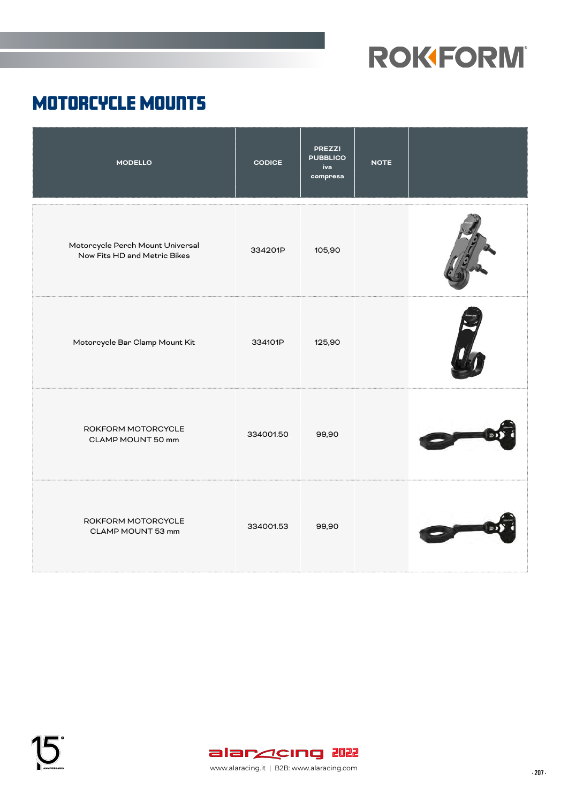#### Motorcycle Mounts

| <b>MODELLO</b>                                                   | <b>CODICE</b> | <b>PREZZI</b><br><b>PUBBLICO</b><br>iva<br>compresa | <b>NOTE</b> |  |
|------------------------------------------------------------------|---------------|-----------------------------------------------------|-------------|--|
| Motorcycle Perch Mount Universal<br>Now Fits HD and Metric Bikes | 334201P       | 105,90                                              |             |  |
| Motorcycle Bar Clamp Mount Kit                                   | 334101P       | 125,90                                              |             |  |
| ROKFORM MOTORCYCLE<br>CLAMP MOUNT 50 mm                          | 334001.50     | 99,90                                               |             |  |
| ROKFORM MOTORCYCLE<br>CLAMP MOUNT 53 mm                          | 334001.53     | 99,90                                               |             |  |